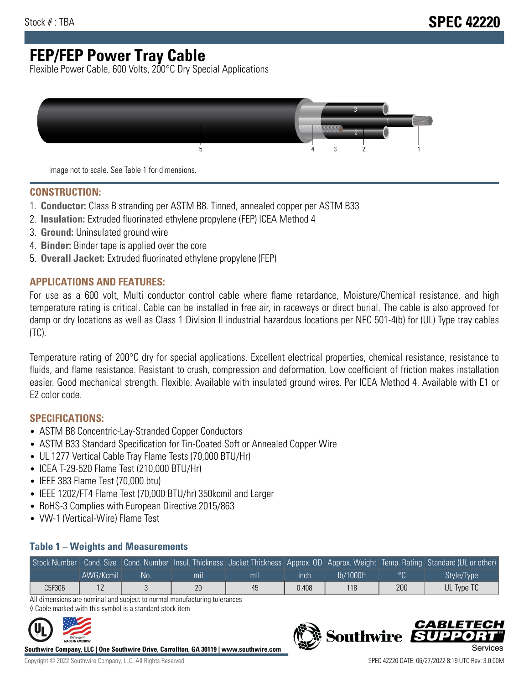# **FEP/FEP Power Tray Cable**

Flexible Power Cable, 600 Volts, 200°C Dry Special Applications



Image not to scale. See Table 1 for dimensions.

#### **CONSTRUCTION:**

- 1. **Conductor:** Class B stranding per ASTM B8. Tinned, annealed copper per ASTM B33
- 2. **Insulation:** Extruded fluorinated ethylene propylene (FEP) ICEA Method 4
- 3. **Ground:** Uninsulated ground wire
- 4. **Binder:** Binder tape is applied over the core
- 5. **Overall Jacket:** Extruded fluorinated ethylene propylene (FEP)

### **APPLICATIONS AND FEATURES:**

For use as a 600 volt, Multi conductor control cable where flame retardance, Moisture/Chemical resistance, and high temperature rating is critical. Cable can be installed in free air, in raceways or direct burial. The cable is also approved for damp or dry locations as well as Class 1 Division II industrial hazardous locations per NEC 501-4(b) for (UL) Type tray cables (TC).

Temperature rating of 200°C dry for special applications. Excellent electrical properties, chemical resistance, resistance to fluids, and flame resistance. Resistant to crush, compression and deformation. Low coefficient of friction makes installation easier. Good mechanical strength. Flexible. Available with insulated ground wires. Per ICEA Method 4. Available with E1 or E2 color code.

### **SPECIFICATIONS:**

- ASTM B8 Concentric-Lay-Stranded Copper Conductors
- ASTM B33 Standard Specification for Tin-Coated Soft or Annealed Copper Wire
- UL 1277 Vertical Cable Tray Flame Tests (70,000 BTU/Hr)
- ICEA T-29-520 Flame Test (210,000 BTU/Hr)
- IEEE 383 Flame Test (70,000 btu)
- IEEE 1202/FT4 Flame Test (70,000 BTU/hr) 350kcmil and Larger
- RoHS-3 Complies with European Directive 2015/863
- VW-1 (Vertical-Wire) Flame Test

#### **Table 1 – Weights and Measurements**

|        |           |     |     |     |       |           |     | Stock Number Cond. Size Cond. Number Insul. Thickness Jacket Thickness Approx. OD Approx. Weight Temp. Rating Standard (UL or other) |
|--------|-----------|-----|-----|-----|-------|-----------|-----|--------------------------------------------------------------------------------------------------------------------------------------|
|        | AWG/Kcmil | No. | mıl | mil | ınch  | lb/1000ft |     | Style/Type                                                                                                                           |
| C5F306 |           |     | 20  | 45  | 0.408 | 118       | 200 | UL Type TC                                                                                                                           |

All dimensions are nominal and subject to normal manufacturing tolerances ◊ Cable marked with this symbol is a standard stock item



**Southwire Company, LLC | One Southwire Drive, Carrollton, GA 30119 | www.southwire.com**